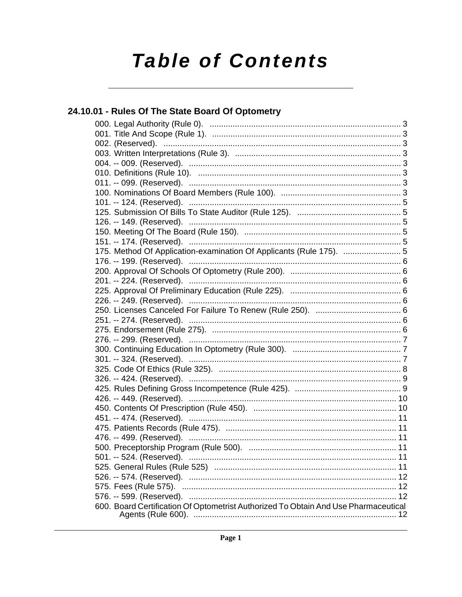# **Table of Contents**

# 24.10.01 - Rules Of The State Board Of Optometry 600. Board Certification Of Optometrist Authorized To Obtain And Use Pharmaceutical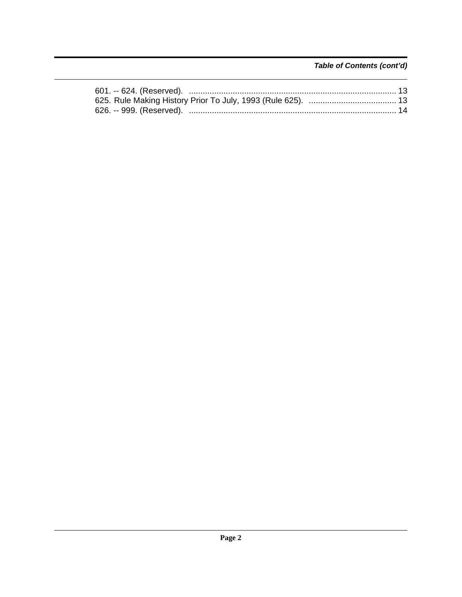Table of Contents (cont'd)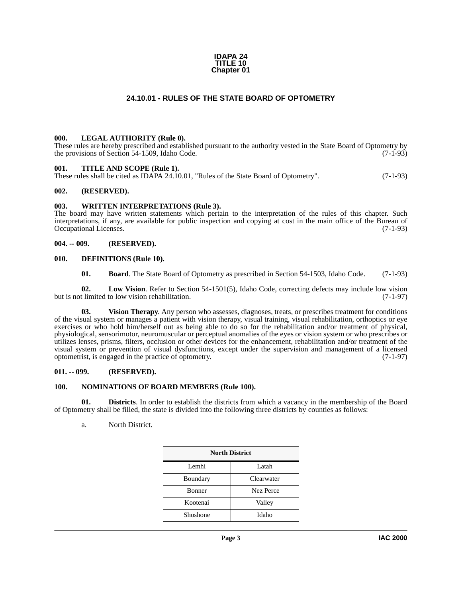#### **IDAPA 24 TITLE 10 Chapter 01**

# **24.10.01 - RULES OF THE STATE BOARD OF OPTOMETRY**

#### <span id="page-2-12"></span><span id="page-2-1"></span><span id="page-2-0"></span>**000. LEGAL AUTHORITY (Rule 0).**

These rules are hereby prescribed and established pursuant to the authority vested in the State Board of Optometry by the provisions of Section 54-1509, Idaho Code.  $(7-1-93)$ 

#### <span id="page-2-15"></span><span id="page-2-2"></span>**001. TITLE AND SCOPE (Rule 1).**

These rules shall be cited as IDAPA 24.10.01, "Rules of the State Board of Optometry". (7-1-93)

#### <span id="page-2-3"></span>**002. (RESERVED).**

#### <span id="page-2-17"></span><span id="page-2-4"></span>**003. WRITTEN INTERPRETATIONS (Rule 3).**

The board may have written statements which pertain to the interpretation of the rules of this chapter. Such interpretations, if any, are available for public inspection and copying at cost in the main office of the Bureau of Occupational Licenses. (7-1-93) Occupational Licenses.

#### <span id="page-2-5"></span>**004. -- 009. (RESERVED).**

#### <span id="page-2-6"></span>**010. DEFINITIONS (Rule 10).**

<span id="page-2-16"></span><span id="page-2-13"></span><span id="page-2-10"></span><span id="page-2-9"></span>**01. Board**. The State Board of Optometry as prescribed in Section 54-1503, Idaho Code. (7-1-93)

**02. Low Vision**. Refer to Section 54-1501(5), Idaho Code, correcting defects may include low vision but is not limited to low vision rehabilitation. (7-1-97)

**03. Vision Therapy**. Any person who assesses, diagnoses, treats, or prescribes treatment for conditions of the visual system or manages a patient with vision therapy, visual training, visual rehabilitation, orthoptics or eye exercises or who hold him/herself out as being able to do so for the rehabilitation and/or treatment of physical, physiological, sensorimotor, neuromuscular or perceptual anomalies of the eyes or vision system or who prescribes or utilizes lenses, prisms, filters, occlusion or other devices for the enhancement, rehabilitation and/or treatment of the visual system or prevention of visual dysfunctions, except under the supervision and management of a licensed optometrist, is engaged in the practice of optometry. (7-1-97)

#### <span id="page-2-7"></span>**011. -- 099. (RESERVED).**

#### <span id="page-2-14"></span><span id="page-2-8"></span>**100. NOMINATIONS OF BOARD MEMBERS (Rule 100).**

**01. Districts**. In order to establish the districts from which a vacancy in the membership of the Board of Optometry shall be filled, the state is divided into the following three districts by counties as follows:

<span id="page-2-11"></span>a. North District.

| <b>North District</b> |            |
|-----------------------|------------|
| Lemhi                 | Latah      |
| Boundary              | Clearwater |
| <b>Bonner</b>         | Nez Perce  |
| Kootenai              | Valley     |
| Shoshone              | Idaho      |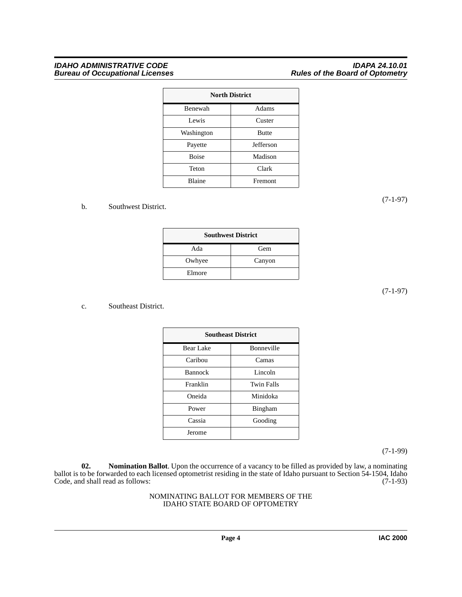### *IDAHO ADMINISTRATIVE CODE IDAPA 24.10.01 Bureau of Occupational Licenses Rules of the Board of Optometry*

|              | <b>North District</b> |
|--------------|-----------------------|
| Benewah      | Adams                 |
| Lewis        | Custer                |
| Washington   | <b>Butte</b>          |
| Payette      | Jefferson             |
| <b>Boise</b> | Madison               |
| Teton        | Clark                 |
| Blaine       | Fremont               |

### b. Southwest District.

| <b>Southwest District</b> |        |
|---------------------------|--------|
| Ada                       | Gem    |
| Owhyee                    | Canyon |
| Elmore                    |        |

# (7-1-97)

#### c. Southeast District.

|                | <b>Southeast District</b> |
|----------------|---------------------------|
| Bear Lake      | Bonneville                |
| Caribou        | Camas                     |
| <b>Bannock</b> | Lincoln                   |
| Franklin       | Twin Falls                |
| Oneida         | Minidoka                  |
| Power          | Bingham                   |
| Cassia         | Gooding                   |
| Jerome         |                           |

(7-1-99)

<span id="page-3-0"></span>**02. Nomination Ballot**. Upon the occurrence of a vacancy to be filled as provided by law, a nominating ballot is to be forwarded to each licensed optometrist residing in the state of Idaho pursuant to Section 54-1504, Idaho Code, and shall read as follows: (7-1-93)

#### NOMINATING BALLOT FOR MEMBERS OF THE IDAHO STATE BOARD OF OPTOMETRY

(7-1-97)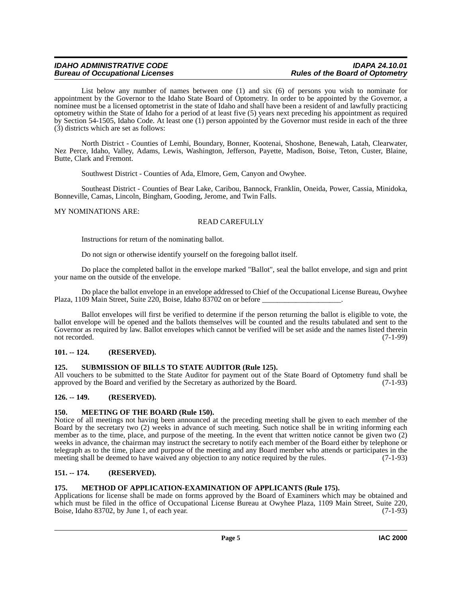List below any number of names between one (1) and six (6) of persons you wish to nominate for appointment by the Governor to the Idaho State Board of Optometry. In order to be appointed by the Governor, a nominee must be a licensed optometrist in the state of Idaho and shall have been a resident of and lawfully practicing optometry within the State of Idaho for a period of at least five (5) years next preceding his appointment as required by Section 54-1505, Idaho Code. At least one (1) person appointed by the Governor must reside in each of the three (3) districts which are set as follows:

North District - Counties of Lemhi, Boundary, Bonner, Kootenai, Shoshone, Benewah, Latah, Clearwater, Nez Perce, Idaho, Valley, Adams, Lewis, Washington, Jefferson, Payette, Madison, Boise, Teton, Custer, Blaine, Butte, Clark and Fremont.

Southwest District - Counties of Ada, Elmore, Gem, Canyon and Owyhee.

Southeast District - Counties of Bear Lake, Caribou, Bannock, Franklin, Oneida, Power, Cassia, Minidoka, Bonneville, Camas, Lincoln, Bingham, Gooding, Jerome, and Twin Falls.

### MY NOMINATIONS ARE:

# READ CAREFULLY

Instructions for return of the nominating ballot.

Do not sign or otherwise identify yourself on the foregoing ballot itself.

Do place the completed ballot in the envelope marked "Ballot", seal the ballot envelope, and sign and print your name on the outside of the envelope.

Do place the ballot envelope in an envelope addressed to Chief of the Occupational License Bureau, Owyhee Plaza, 1109 Main Street, Suite 220, Boise, Idaho  $\overline{8}3702$  on or before

Ballot envelopes will first be verified to determine if the person returning the ballot is eligible to vote, the ballot envelope will be opened and the ballots themselves will be counted and the results tabulated and sent to the Governor as required by law. Ballot envelopes which cannot be verified will be set aside and the names listed therein not recorded. (7-1-99) not recorded. (7-1-99)

# <span id="page-4-0"></span>**101. -- 124. (RESERVED).**

# <span id="page-4-8"></span><span id="page-4-1"></span>**125. SUBMISSION OF BILLS TO STATE AUDITOR (Rule 125).**

All vouchers to be submitted to the State Auditor for payment out of the State Board of Optometry fund shall be approved by the Board and verified by the Secretary as authorized by the Board. (7-1-93) approved by the Board and verified by the Secretary as authorized by the Board.

#### <span id="page-4-2"></span>**126. -- 149. (RESERVED).**

#### <span id="page-4-6"></span><span id="page-4-3"></span>**150. MEETING OF THE BOARD (Rule 150).**

Notice of all meetings not having been announced at the preceding meeting shall be given to each member of the Board by the secretary two (2) weeks in advance of such meeting. Such notice shall be in writing informing each member as to the time, place, and purpose of the meeting. In the event that written notice cannot be given two (2) weeks in advance, the chairman may instruct the secretary to notify each member of the Board either by telephone or telegraph as to the time, place and purpose of the meeting and any Board member who attends or participates in the meeting shall be deemed to have waived any objection to any notice required by the rules. (7-1-93)

# <span id="page-4-4"></span>**151. -- 174. (RESERVED).**

#### <span id="page-4-7"></span><span id="page-4-5"></span>**175. METHOD OF APPLICATION-EXAMINATION OF APPLICANTS (Rule 175).**

Applications for license shall be made on forms approved by the Board of Examiners which may be obtained and which must be filed in the office of Occupational License Bureau at Owyhee Plaza, 1109 Main Street, Suite 220, Boise, Idaho 83702, by June 1, of each year. (7-1-93)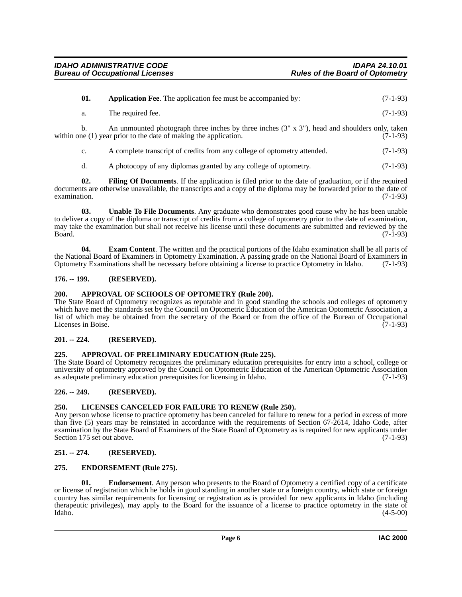<span id="page-5-8"></span>

| 01. | <b>Application Fee.</b> The application fee must be accompanied by:                                                                                                          | $(7-1-93)$ |
|-----|------------------------------------------------------------------------------------------------------------------------------------------------------------------------------|------------|
| a.  | The required fee.                                                                                                                                                            | $(7-1-93)$ |
|     | An unmounted photograph three inches by three inches $(3'' \times 3'')$ , head and shoulders only, taken<br>within one (1) year prior to the date of making the application. | $(7-1-93)$ |

c. A complete transcript of credits from any college of optometry attended. (7-1-93)

<span id="page-5-15"></span><span id="page-5-13"></span>d. A photocopy of any diplomas granted by any college of optometry. (7-1-93)

**02. Filing Of Documents**. If the application is filed prior to the date of graduation, or if the required documents are otherwise unavailable, the transcripts and a copy of the diploma may be forwarded prior to the date of examination.  $(7-1-93)$ 

**03. Unable To File Documents**. Any graduate who demonstrates good cause why he has been unable to deliver a copy of the diploma or transcript of credits from a college of optometry prior to the date of examination, may take the examination but shall not receive his license until these documents are submitted and reviewed by the  $Board.$  (7-1-93)

<span id="page-5-12"></span>**04. Exam Content**. The written and the practical portions of the Idaho examination shall be all parts of the National Board of Examiners in Optometry Examination. A passing grade on the National Board of Examiners in Optometry Examinations shall be necessary before obtaining a license to practice Optometry in Idaho. (7-1-93)

# <span id="page-5-0"></span>**176. -- 199. (RESERVED).**

# <span id="page-5-10"></span><span id="page-5-1"></span>**200. APPROVAL OF SCHOOLS OF OPTOMETRY (Rule 200).**

The State Board of Optometry recognizes as reputable and in good standing the schools and colleges of optometry which have met the standards set by the Council on Optometric Education of the American Optometric Association, a list of which may be obtained from the secretary of the Board or from the office of the Bureau of Occupational Licenses in Boise. (7-1-93)

# <span id="page-5-2"></span>**201. -- 224. (RESERVED).**

# <span id="page-5-9"></span><span id="page-5-3"></span>**225. APPROVAL OF PRELIMINARY EDUCATION (Rule 225).**

The State Board of Optometry recognizes the preliminary education prerequisites for entry into a school, college or university of optometry approved by the Council on Optometric Education of the American Optometric Association as adequate preliminary education prerequisites for licensing in Idaho. (7-1-93)

# <span id="page-5-4"></span>**226. -- 249. (RESERVED).**

# <span id="page-5-14"></span><span id="page-5-5"></span>**250. LICENSES CANCELED FOR FAILURE TO RENEW (Rule 250).**

Any person whose license to practice optometry has been canceled for failure to renew for a period in excess of more than five (5) years may be reinstated in accordance with the requirements of Section 67-2614, Idaho Code, after examination by the State Board of Examiners of the State Board of Optometry as is required for new applicants under Section 175 set out above. (7-1-93)

# <span id="page-5-6"></span>**251. -- 274. (RESERVED).**

# <span id="page-5-11"></span><span id="page-5-7"></span>**275. ENDORSEMENT (Rule 275).**

**01. Endorsement**. Any person who presents to the Board of Optometry a certified copy of a certificate or license of registration which he holds in good standing in another state or a foreign country, which state or foreign country has similar requirements for licensing or registration as is provided for new applicants in Idaho (including therapeutic privileges), may apply to the Board for the issuance of a license to practice optometry in the state of Idaho. (4-5-00)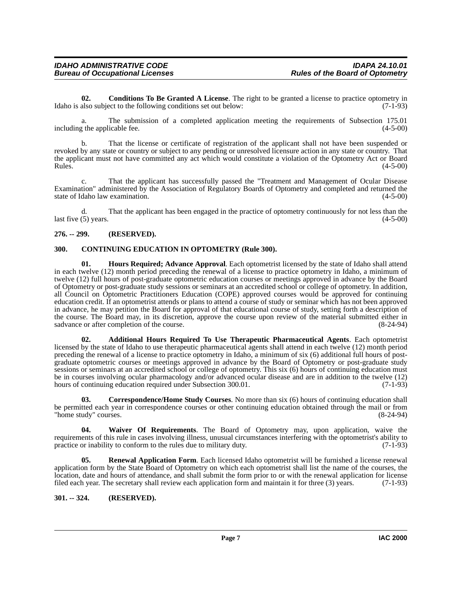<span id="page-6-5"></span>**02. Conditions To Be Granted A License**. The right to be granted a license to practice optometry in Idaho is also subject to the following conditions set out below: (7-1-93)

a. The submission of a completed application meeting the requirements of Subsection 175.01 including the applicable fee. (4-5-00)

b. That the license or certificate of registration of the applicant shall not have been suspended or revoked by any state or country or subject to any pending or unresolved licensure action in any state or country. That the applicant must not have committed any act which would constitute a violation of the Optometry Act or Board<br>Rules. (4-5-00)  $Rules.$  (4-5-00)

c. That the applicant has successfully passed the "Treatment and Management of Ocular Disease Examination" administered by the Association of Regulatory Boards of Optometry and completed and returned the state of Idaho law examination. (4-5-00)

d. That the applicant has been engaged in the practice of optometry continuously for not less than the last five  $(5)$  years. (4-5-00)

# <span id="page-6-0"></span>**276. -- 299. (RESERVED).**

# <span id="page-6-6"></span><span id="page-6-1"></span>**300. CONTINUING EDUCATION IN OPTOMETRY (Rule 300).**

<span id="page-6-4"></span>**01. Hours Required; Advance Approval**. Each optometrist licensed by the state of Idaho shall attend in each twelve (12) month period preceding the renewal of a license to practice optometry in Idaho, a minimum of twelve (12) full hours of post-graduate optometric education courses or meetings approved in advance by the Board of Optometry or post-graduate study sessions or seminars at an accredited school or college of optometry. In addition, all Council on Optometric Practitioners Education (COPE) approved courses would be approved for continuing education credit. If an optometrist attends or plans to attend a course of study or seminar which has not been approved in advance, he may petition the Board for approval of that educational course of study, setting forth a description of the course. The Board may, in its discretion, approve the course upon review of the material submitted either in sadvance or after completion of the course. (8-24-94)

<span id="page-6-3"></span>**02. Additional Hours Required To Use Therapeutic Pharmaceutical Agents**. Each optometrist licensed by the state of Idaho to use therapeutic pharmaceutical agents shall attend in each twelve (12) month period preceding the renewal of a license to practice optometry in Idaho, a minimum of six (6) additional full hours of postgraduate optometric courses or meetings approved in advance by the Board of Optometry or post-graduate study sessions or seminars at an accredited school or college of optometry. This six (6) hours of continuing education must be in courses involving ocular pharmacology and/or advanced ocular disease and are in addition to the twelve (12) hours of continuing education required under Subsection 300.01. (7-1-93) hours of continuing education required under Subsection 300.01.

<span id="page-6-7"></span>**03. Correspondence/Home Study Courses**. No more than six (6) hours of continuing education shall be permitted each year in correspondence courses or other continuing education obtained through the mail or from "home study" courses. (8-24-94)

<span id="page-6-9"></span>**04. Waiver Of Requirements**. The Board of Optometry may, upon application, waive the requirements of this rule in cases involving illness, unusual circumstances interfering with the optometrist's ability to practice or inability to conform to the rules due to military duty. (7-1-93)

<span id="page-6-8"></span>**05. Renewal Application Form**. Each licensed Idaho optometrist will be furnished a license renewal application form by the State Board of Optometry on which each optometrist shall list the name of the courses, the location, date and hours of attendance, and shall submit the form prior to or with the renewal application for license filed each year. The secretary shall review each application form and maintain it for three (3) years. (7-1-93)

# <span id="page-6-2"></span>**301. -- 324. (RESERVED).**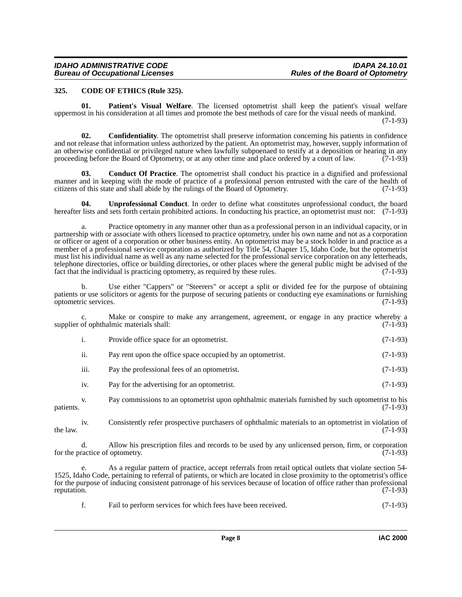#### <span id="page-7-1"></span><span id="page-7-0"></span>**325. CODE OF ETHICS (Rule 325).**

<span id="page-7-4"></span>**01. Patient's Visual Welfare**. The licensed optometrist shall keep the patient's visual welfare uppermost in his consideration at all times and promote the best methods of care for the visual needs of mankind. (7-1-93)

<span id="page-7-3"></span>**02. Confidentiality**. The optometrist shall preserve information concerning his patients in confidence and not release that information unless authorized by the patient. An optometrist may, however, supply information of an otherwise confidential or privileged nature when lawfully subpoenaed to testify at a deposition or hearing in any proceeding before the Board of Optometry, or at any other time and place ordered by a court of law. (7-1-93)

<span id="page-7-2"></span>**03. Conduct Of Practice**. The optometrist shall conduct his practice in a dignified and professional manner and in keeping with the mode of practice of a professional person entrusted with the care of the health of citizens of this state and shall abide by the rulings of the Board of Optometry. (7-1-93)

<span id="page-7-5"></span>**04. Unprofessional Conduct**. In order to define what constitutes unprofessional conduct, the board hereafter lists and sets forth certain prohibited actions. In conducting his practice, an optometrist must not: (7-1-93)

a. Practice optometry in any manner other than as a professional person in an individual capacity, or in partnership with or associate with others licensed to practice optometry, under his own name and not as a corporation or officer or agent of a corporation or other business entity. An optometrist may be a stock holder in and practice as a member of a professional service corporation as authorized by Title 54, Chapter 15, Idaho Code, but the optometrist must list his individual name as well as any name selected for the professional service corporation on any letterheads, telephone directories, office or building directories, or other places where the general public might be advised of the fact that the individual is practicing optometry, as required by these rules. (7-1-93)

b. Use either "Cappers" or "Steerers" or accept a split or divided fee for the purpose of obtaining patients or use solicitors or agents for the purpose of securing patients or conducting eye examinations or furnishing optometric services. (7-1-93) optometric services.

c. Make or conspire to make any arrangement, agreement, or engage in any practice whereby a of ophthalmic materials shall: (7-1-93) supplier of ophthalmic materials shall:

| Provide office space for an optometrist. | $(7-1-93)$ |
|------------------------------------------|------------|
|                                          |            |

| Pay rent upon the office space occupied by an optometrist. |  | $(7-1-93)$ |
|------------------------------------------------------------|--|------------|
|                                                            |  |            |

- iii. Pay the professional fees of an optometrist. (7-1-93)
- iv. Pay for the advertising for an optometrist. (7-1-93)

v. Pay commissions to an optometrist upon ophthalmic materials furnished by such optometrist to his patients. (7-1-93)

iv. Consistently refer prospective purchasers of ophthalmic materials to an optometrist in violation of the law.  $(7-1-93)$ 

d. Allow his prescription files and records to be used by any unlicensed person, firm, or corporation for the practice of optometry. (7-1-93)

e. As a regular pattern of practice, accept referrals from retail optical outlets that violate section 54- 1525, Idaho Code, pertaining to referral of patients, or which are located in close proximity to the optometrist's office for the purpose of inducing consistent patronage of his services because of location of office rather than professional reputation. (7-1-93)

f. Fail to perform services for which fees have been received. (7-1-93)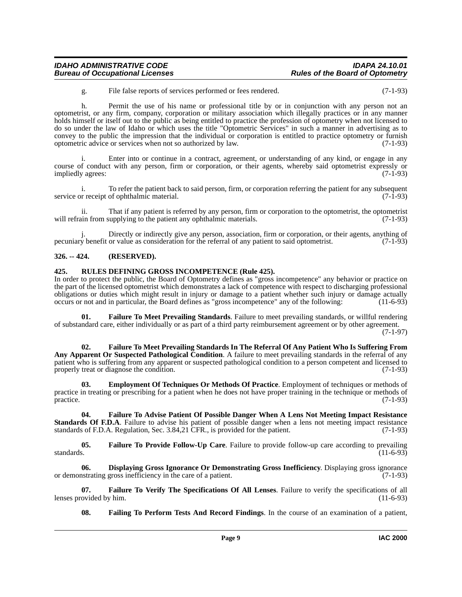g. File false reports of services performed or fees rendered. (7-1-93)

h. Permit the use of his name or professional title by or in conjunction with any person not an optometrist, or any firm, company, corporation or military association which illegally practices or in any manner holds himself or itself out to the public as being entitled to practice the profession of optometry when not licensed to do so under the law of Idaho or which uses the title "Optometric Services" in such a manner in advertising as to convey to the public the impression that the individual or corporation is entitled to practice optometry or furnish optometric advice or services when not so authorized by law. (7-1-93)

Enter into or continue in a contract, agreement, or understanding of any kind, or engage in any course of conduct with any person, firm or corporation, or their agents, whereby said optometrist expressly or impliedly agrees: (7-1-93)

i. To refer the patient back to said person, firm, or corporation referring the patient for any subsequent service or receipt of ophthalmic material. (7-1-93)

ii. That if any patient is referred by any person, firm or corporation to the optometrist, the optometrist will refrain from supplying to the patient any ophthalmic materials. (7-1-93)

Directly or indirectly give any person, association, firm or corporation, or their agents, anything of pecuniary benefit or value as consideration for the referral of any patient to said optometrist. (7-1-93)

# <span id="page-8-0"></span>**326. -- 424. (RESERVED).**

# <span id="page-8-10"></span><span id="page-8-1"></span>**425. RULES DEFINING GROSS INCOMPETENCE (Rule 425).**

In order to protect the public, the Board of Optometry defines as "gross incompetence" any behavior or practice on the part of the licensed optometrist which demonstrates a lack of competence with respect to discharging professional obligations or duties which might result in injury or damage to a patient whether such injury or damage actually occurs or not and in particular, the Board defines as "gross incompetence" any of the following: (11-6-93)

<span id="page-8-6"></span>**01. Failure To Meet Prevailing Standards**. Failure to meet prevailing standards, or willful rendering of substandard care, either individually or as part of a third party reimbursement agreement or by other agreement. (7-1-97)

<span id="page-8-7"></span>**02. Failure To Meet Prevailing Standards In The Referral Of Any Patient Who Is Suffering From Any Apparent Or Suspected Pathological Condition**. A failure to meet prevailing standards in the referral of any patient who is suffering from any apparent or suspected pathological condition to a person competent and licensed to properly treat or diagnose the condition. (7-1-93)

<span id="page-8-3"></span>**03. Employment Of Techniques Or Methods Of Practice**. Employment of techniques or methods of practice in treating or prescribing for a patient when he does not have proper training in the technique or methods of practice. (7-1-93)

<span id="page-8-5"></span>**04. Failure To Advise Patient Of Possible Danger When A Lens Not Meeting Impact Resistance Standards Of F.D.A**. Failure to advise his patient of possible danger when a lens not meeting impact resistance standards of F.D.A. Regulation, Sec. 3.84.21 CFR. is provided for the patient. (7-1-93) standards of F.D.A. Regulation, Sec. 3.84,21 CFR., is provided for the patient.

<span id="page-8-8"></span>**05.** Failure To Provide Follow-Up Care. Failure to provide follow-up care according to prevailing standards. (11-6-93) standards.  $(11-6-93)$ 

<span id="page-8-2"></span>**06. Displaying Gross Ignorance Or Demonstrating Gross Inefficiency**. Displaying gross ignorance or demonstrating gross inefficiency in the care of a patient. (7-1-93)

**07. Failure To Verify The Specifications Of All Lenses**. Failure to verify the specifications of all lenses provided by him.

<span id="page-8-9"></span><span id="page-8-4"></span>**08. Failing To Perform Tests And Record Findings**. In the course of an examination of a patient,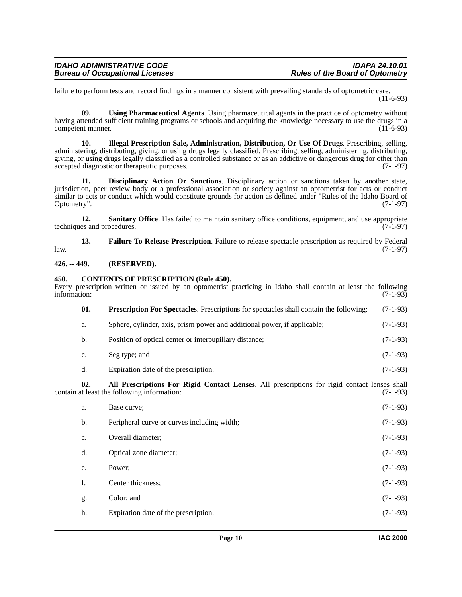failure to perform tests and record findings in a manner consistent with prevailing standards of optometric care. (11-6-93)

<span id="page-9-9"></span>**09. Using Pharmaceutical Agents**. Using pharmaceutical agents in the practice of optometry without having attended sufficient training programs or schools and acquiring the knowledge necessary to use the drugs in a competent manner. (11-6-93)

<span id="page-9-6"></span>**10. Illegal Prescription Sale, Administration, Distribution, Or Use Of Drugs**. Prescribing, selling, administering, distributing, giving, or using drugs legally classified. Prescribing, selling, administering, distributing, giving, or using drugs legally classified as a controlled substance or as an addictive or dangerous drug for other than accepted diagnostic or therapeutic purposes. (7-1-97) accepted diagnostic or therapeutic purposes.

<span id="page-9-4"></span>**11. Disciplinary Action Or Sanctions**. Disciplinary action or sanctions taken by another state, jurisdiction, peer review body or a professional association or society against an optometrist for acts or conduct similar to acts or conduct which would constitute grounds for action as defined under "Rules of the Idaho Board of Optometry". (7-1-97) Optometry". (7-1-97)

<span id="page-9-8"></span>12. Sanitary Office. Has failed to maintain sanitary office conditions, equipment, and use appropriate techniques and procedures. (7-1-97)

<span id="page-9-5"></span>**13. Failure To Release Prescription**. Failure to release spectacle prescription as required by Federal (7-1-97)  $l$ aw.  $(7-1-97)$ 

### <span id="page-9-0"></span>**426. -- 449. (RESERVED).**

### <span id="page-9-3"></span><span id="page-9-1"></span>**450. CONTENTS OF PRESCRIPTION (Rule 450).**

<span id="page-9-7"></span><span id="page-9-2"></span>

| information: |                                                                                               | $(7-1-93)$                                                                                                                                                                                                                                                     |
|--------------|-----------------------------------------------------------------------------------------------|----------------------------------------------------------------------------------------------------------------------------------------------------------------------------------------------------------------------------------------------------------------|
| 01.          | <b>Prescription For Spectacles.</b> Prescriptions for spectacles shall contain the following: | $(7-1-93)$                                                                                                                                                                                                                                                     |
| a.           | Sphere, cylinder, axis, prism power and additional power, if applicable;                      | $(7-1-93)$                                                                                                                                                                                                                                                     |
| b.           | Position of optical center or interpupillary distance;                                        | $(7-1-93)$                                                                                                                                                                                                                                                     |
| c.           | Seg type; and                                                                                 | $(7-1-93)$                                                                                                                                                                                                                                                     |
| d.           | Expiration date of the prescription.                                                          | $(7-1-93)$                                                                                                                                                                                                                                                     |
| 02.          |                                                                                               | $(7-1-93)$                                                                                                                                                                                                                                                     |
| a.           | Base curve;                                                                                   | $(7-1-93)$                                                                                                                                                                                                                                                     |
| b.           | Peripheral curve or curves including width;                                                   | $(7-1-93)$                                                                                                                                                                                                                                                     |
| c.           | Overall diameter;                                                                             | $(7-1-93)$                                                                                                                                                                                                                                                     |
| d.           | Optical zone diameter;                                                                        | $(7-1-93)$                                                                                                                                                                                                                                                     |
| e.           | Power;                                                                                        | $(7-1-93)$                                                                                                                                                                                                                                                     |
| f.           | Center thickness;                                                                             | $(7-1-93)$                                                                                                                                                                                                                                                     |
| g.           | Color; and                                                                                    | $(7-1-93)$                                                                                                                                                                                                                                                     |
| h.           | Expiration date of the prescription.                                                          | $(7-1-93)$                                                                                                                                                                                                                                                     |
|              |                                                                                               | Every prescription written or issued by an optometrist practicing in Idaho shall contain at least the following<br>All Prescriptions For Rigid Contact Lenses. All prescriptions for rigid contact lenses shall<br>contain at least the following information: |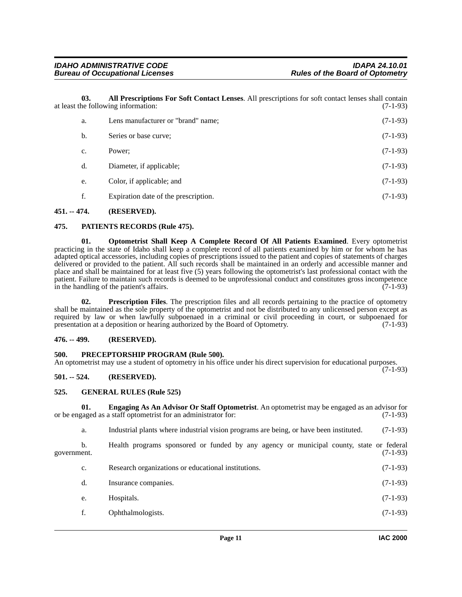**03. All Prescriptions For Soft Contact Lenses**. All prescriptions for soft contact lenses shall contain at least the following information: (7-1-93)

<span id="page-10-6"></span>

| a. | Lens manufacturer or "brand" name;   | $(7-1-93)$ |
|----|--------------------------------------|------------|
| b. | Series or base curve;                | $(7-1-93)$ |
| c. | Power:                               | $(7-1-93)$ |
| d. | Diameter, if applicable;             | $(7-1-93)$ |
| e. | Color, if applicable; and            | $(7-1-93)$ |
|    | Expiration date of the prescription. | $(7-1-93)$ |

#### <span id="page-10-0"></span>**451. -- 474. (RESERVED).**

### <span id="page-10-10"></span><span id="page-10-1"></span>**475. PATIENTS RECORDS (Rule 475).**

<span id="page-10-9"></span>**01. Optometrist Shall Keep A Complete Record Of All Patients Examined**. Every optometrist practicing in the state of Idaho shall keep a complete record of all patients examined by him or for whom he has adapted optical accessories, including copies of prescriptions issued to the patient and copies of statements of charges delivered or provided to the patient. All such records shall be maintained in an orderly and accessible manner and place and shall be maintained for at least five (5) years following the optometrist's last professional contact with the patient. Failure to maintain such records is deemed to be unprofessional conduct and constitutes gross incompetence in the handling of the patient's affairs. (7-1-93)

<span id="page-10-12"></span>**02. Prescription Files**. The prescription files and all records pertaining to the practice of optometry shall be maintained as the sole property of the optometrist and not be distributed to any unlicensed person except as required by law or when lawfully subpoenaed in a criminal or civil proceeding in court, or subpoenaed for presentation at a deposition or hearing authorized by the Board of Optometry. (7-1-93) presentation at a deposition or hearing authorized by the Board of Optometry.

### <span id="page-10-2"></span>**476. -- 499. (RESERVED).**

# <span id="page-10-11"></span><span id="page-10-3"></span>**500. PRECEPTORSHIP PROGRAM (Rule 500).**

An optometrist may use a student of optometry in his office under his direct supervision for educational purposes. (7-1-93)

# <span id="page-10-4"></span>**501. -- 524. (RESERVED).**

#### <span id="page-10-8"></span><span id="page-10-5"></span>**525. GENERAL RULES (Rule 525)**

**01. Engaging As An Advisor Or Staff Optometrist**. An optometrist may be engaged as an advisor for gaged as a staff optometrist for an administrator for: (7-1-93) or be engaged as a staff optometrist for an administrator for:

<span id="page-10-7"></span>a. Industrial plants where industrial vision programs are being, or have been instituted. (7-1-93)

b. Health programs sponsored or funded by any agency or municipal county, state or federal government. (7-1-93)

- c. Research organizations or educational institutions. (7-1-93)
	- d. Insurance companies. (7-1-93)
	- e. Hospitals. (7-1-93)
	- f. Ophthalmologists. (7-1-93)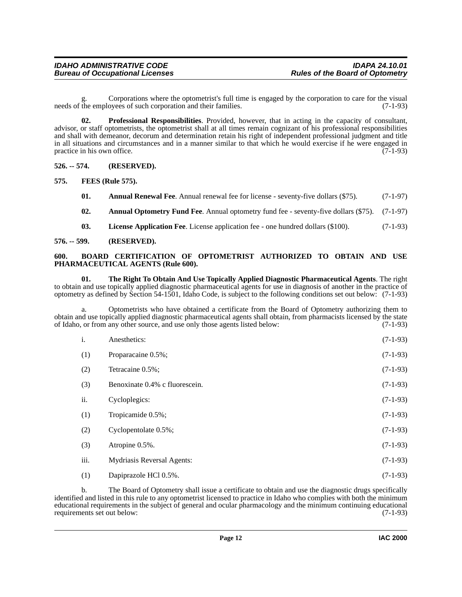g. Corporations where the optometrist's full time is engaged by the corporation to care for the visual needs of the employees of such corporation and their families. (7-1-93)

<span id="page-11-9"></span>**02. Professional Responsibilities**. Provided, however, that in acting in the capacity of consultant, advisor, or staff optometrists, the optometrist shall at all times remain cognizant of his professional responsibilities and shall with demeanor, decorum and determination retain his right of independent professional judgment and title in all situations and circumstances and in a manner similar to that which he would exercise if he were engaged in practice in his own office. (7-1-93)

# <span id="page-11-0"></span>**526. -- 574. (RESERVED).**

<span id="page-11-1"></span>**575. FEES (Rule 575).**

- <span id="page-11-7"></span><span id="page-11-5"></span>**01.** Annual Renewal Fee. Annual renewal fee for license - seventy-five dollars (\$75). (7-1-97)
- <span id="page-11-8"></span><span id="page-11-4"></span>**02. Annual Optometry Fund Fee**. Annual optometry fund fee - seventy-five dollars (\$75). (7-1-97)
- <span id="page-11-10"></span><span id="page-11-6"></span>**03. License Application Fee**. License application fee - one hundred dollars (\$100). (7-1-93)

#### <span id="page-11-2"></span>**576. -- 599. (RESERVED).**

#### <span id="page-11-3"></span>**600. BOARD CERTIFICATION OF OPTOMETRIST AUTHORIZED TO OBTAIN AND USE PHARMACEUTICAL AGENTS (Rule 600).**

**01. The Right To Obtain And Use Topically Applied Diagnostic Pharmaceutical Agents**. The right to obtain and use topically applied diagnostic pharmaceutical agents for use in diagnosis of another in the practice of optometry as defined by Section 54-1501, Idaho Code, is subject to the following conditions set out below: (7-1-93)

a. Optometrists who have obtained a certificate from the Board of Optometry authorizing them to obtain and use topically applied diagnostic pharmaceutical agents shall obtain, from pharmacists licensed by the state of Idaho, or from any other source, and use only those agents listed below: (7-1-93)

| i.   | Anesthetics:                   | $(7-1-93)$ |
|------|--------------------------------|------------|
| (1)  | Proparacaine 0.5%;             | $(7-1-93)$ |
| (2)  | Tetracaine 0.5%;               | $(7-1-93)$ |
| (3)  | Benoxinate 0.4% c fluorescein. | $(7-1-93)$ |
| ii.  | Cycloplegics:                  | $(7-1-93)$ |
| (1)  | Tropicamide 0.5%;              | $(7-1-93)$ |
| (2)  | Cyclopentolate 0.5%;           | $(7-1-93)$ |
| (3)  | Atropine 0.5%.                 | $(7-1-93)$ |
| iii. | Mydriasis Reversal Agents:     | $(7-1-93)$ |
| (1)  | Dapiprazole HCl 0.5%.          | $(7-1-93)$ |

b. The Board of Optometry shall issue a certificate to obtain and use the diagnostic drugs specifically identified and listed in this rule to any optometrist licensed to practice in Idaho who complies with both the minimum educational requirements in the subject of general and ocular pharmacology and the minimum continuing educational requirements set out below: (7-1-93)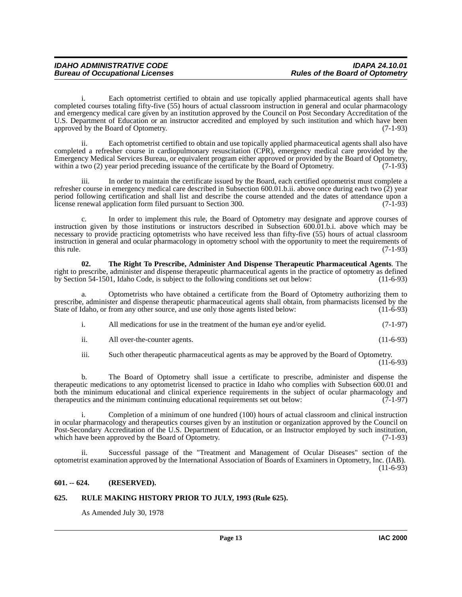i. Each optometrist certified to obtain and use topically applied pharmaceutical agents shall have completed courses totaling fifty-five (55) hours of actual classroom instruction in general and ocular pharmacology and emergency medical care given by an institution approved by the Council on Post Secondary Accreditation of the U.S. Department of Education or an instructor accredited and employed by such institution and which have been approved by the Board of Optometry. (7-1-93)

ii. Each optometrist certified to obtain and use topically applied pharmaceutical agents shall also have completed a refresher course in cardiopulmonary resuscitation (CPR), emergency medical care provided by the Emergency Medical Services Bureau, or equivalent program either approved or provided by the Board of Optometry, within a two (2) year period preceding issuance of the certificate by the Board of Optometry. (7-1-93)

iii. In order to maintain the certificate issued by the Board, each certified optometrist must complete a refresher course in emergency medical care described in Subsection 600.01.b.ii. above once during each two (2) year period following certification and shall list and describe the course attended and the dates of attendance upon a license renewal application form filed pursuant to Section 300. (7-1-93) license renewal application form filed pursuant to Section 300.

c. In order to implement this rule, the Board of Optometry may designate and approve courses of instruction given by those institutions or instructors described in Subsection 600.01.b.i. above which may be necessary to provide practicing optometrists who have received less than fifty-five (55) hours of actual classroom instruction in general and ocular pharmacology in optometry school with the opportunity to meet the requirements of this rule. (7-1-93) this rule.  $(7-1-93)$ 

<span id="page-12-3"></span>**02. The Right To Prescribe, Administer And Dispense Therapeutic Pharmaceutical Agents**. The right to prescribe, administer and dispense therapeutic pharmaceutical agents in the practice of optometry as defined<br>by Section 54-1501. Idaho Code, is subject to the following conditions set out below: (11-6-93) by Section 54-1501, Idaho Code, is subject to the following conditions set out below:

a. Optometrists who have obtained a certificate from the Board of Optometry authorizing them to prescribe, administer and dispense therapeutic pharmaceutical agents shall obtain, from pharmacists licensed by the State of Idaho, or from any other source, and use only those agents listed below: (11-6-93)

| $(7-1-97)$<br>All medications for use in the treatment of the human eye and/or eyelid. |
|----------------------------------------------------------------------------------------|
|----------------------------------------------------------------------------------------|

ii. All over-the-counter agents. (11-6-93)

iii. Such other therapeutic pharmaceutical agents as may be approved by the Board of Optometry.

 $(11-6-93)$ 

b. The Board of Optometry shall issue a certificate to prescribe, administer and dispense the therapeutic medications to any optometrist licensed to practice in Idaho who complies with Subsection 600.01 and both the minimum educational and clinical experience requirements in the subject of ocular pharmacology and therapeutics and the minimum continuing educational requirements set out below: (7-1-97)

i. Completion of a minimum of one hundred (100) hours of actual classroom and clinical instruction in ocular pharmacology and therapeutics courses given by an institution or organization approved by the Council on Post-Secondary Accreditation of the U.S. Department of Education, or an Instructor employed by such institution, which have been approved by the Board of Optometry. (7-1-93)

ii. Successful passage of the "Treatment and Management of Ocular Diseases" section of the optometrist examination approved by the International Association of Boards of Examiners in Optometry, Inc. (IAB). (11-6-93)

# <span id="page-12-0"></span>**601. -- 624. (RESERVED).**

# <span id="page-12-1"></span>**625. RULE MAKING HISTORY PRIOR TO JULY, 1993 (Rule 625).**

<span id="page-12-2"></span>As Amended July 30, 1978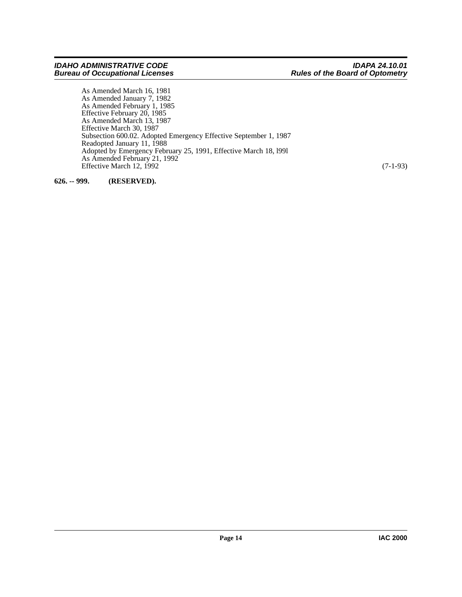#### *IDAHO ADMINISTRATIVE CODE IDAPA 24.10.01 Bureau of Occupational Licenses Rules of the Board of Optometry*

As Amended March 16, 1981 As Amended January 7, 1982 As Amended February 1, 1985 Effective February 20, 1985 As Amended March 13, 1987 Effective March 30, 1987 Subsection 600.02. Adopted Emergency Effective September 1, 1987 Readopted January 11, 1988 Adopted by Emergency February 25, 1991, Effective March 18, l99l As Amended February 21, 1992 Effective March 12, 1992 (7-1-93)

<span id="page-13-0"></span>**626. -- 999. (RESERVED).**